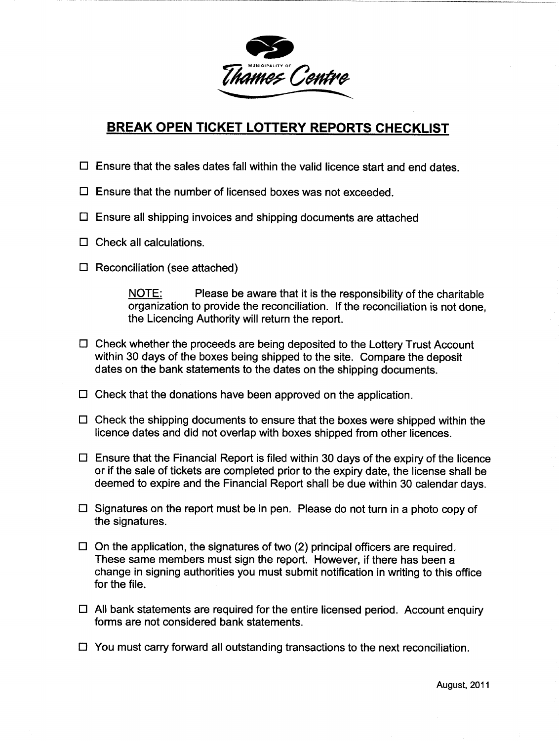

## BREAK OPEN TICKET LOTTERY REPORTS CHECKLIST

- $\Box$  Ensure that the sales dates fall within the valid licence start and end dates.
- $\Box$  Ensure that the number of licensed boxes was not exceeded.
- $\Box$  Ensure all shipping invoices and shipping documents are attached
- $\Box$  Check all calculations.
- $\Box$  Reconciliation (see attached)

 $NOTE:$  Please be aware that it is the responsibility of the charitable organization to provide the reconciliation. If the reconciliation is not done, the Licencing Authority will return the report

- $\Box$  Check whether the proceeds are being deposited to the Lottery Trust Account within 30 days of the boxes being shipped to the site. Compare the deposit dates on the bank statements to the dates on the shipping documents
- $\square$  Check that the donations have been approved on the application.
- $\Box$  Check the shipping documents to ensure that the boxes were shipped within the licence dates and did not overlap with boxes shipped from other licences
- $\Box$  Ensure that the Financial Report is filed within 30 days of the expiry of the licence or if the sale of tickets are completed prior to the expiry date, the license shall be deemed to expire and the Financial Report shall be due within 30 calendar days
- $\Box$  Signatures on the report must be in pen. Please do not turn in a photo copy of the signatures
- $\Box$  On the application, the signatures of two (2) principal officers are required. These same members must sign the report. However, if there has been a change in signing authorities you must submit notification in writing to this office for the file
- $\Box$  All bank statements are required for the entire licensed period. Account enquiry forms are not considered bank statements
- $\Box$  You must carry forward all outstanding transactions to the next reconciliation.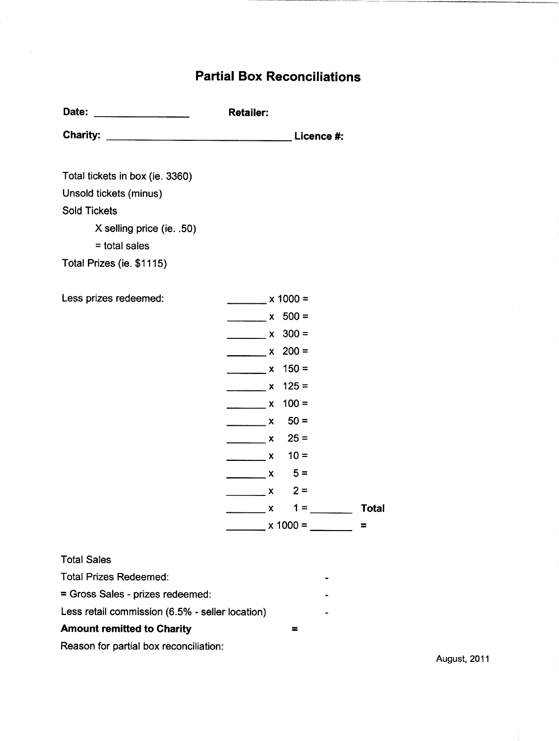## Partial Box Reconciliations

| Date:           | <b>Retailer:</b> |
|-----------------|------------------|
| <b>Charity:</b> | Licence #:       |

Total tickets in box (ie. 3360)

Unsold tickets (minus)

Sold Tickets

 $X$  selling price (ie. .50)

 $=$  total sales

Total Prizes (ie. \$1115)

| Less prizes redeemed:                           | $\frac{1}{2}$ x 1000 =                                                                                                                                                                                                                                                                                                                                                                                                                                                          |        |       |              |
|-------------------------------------------------|---------------------------------------------------------------------------------------------------------------------------------------------------------------------------------------------------------------------------------------------------------------------------------------------------------------------------------------------------------------------------------------------------------------------------------------------------------------------------------|--------|-------|--------------|
|                                                 | $x 500 =$                                                                                                                                                                                                                                                                                                                                                                                                                                                                       |        |       |              |
|                                                 | $\frac{\ }{2}$ x 300 =                                                                                                                                                                                                                                                                                                                                                                                                                                                          |        |       |              |
|                                                 | $x = 200 =$                                                                                                                                                                                                                                                                                                                                                                                                                                                                     |        |       |              |
|                                                 | $x = 150 =$                                                                                                                                                                                                                                                                                                                                                                                                                                                                     |        |       |              |
|                                                 | $\frac{1}{2}$ x 125 =                                                                                                                                                                                                                                                                                                                                                                                                                                                           |        |       |              |
|                                                 | $x = 100 =$                                                                                                                                                                                                                                                                                                                                                                                                                                                                     |        |       |              |
|                                                 | $\overline{\phantom{a}}$ $\overline{\phantom{a}}$ $\overline{\phantom{a}}$ $\overline{\phantom{a}}$ $\overline{\phantom{a}}$                                                                                                                                                                                                                                                                                                                                                    | $50 =$ |       |              |
|                                                 | $x \quad 25 =$                                                                                                                                                                                                                                                                                                                                                                                                                                                                  |        |       |              |
|                                                 | $\overline{\phantom{1}}$ $\overline{\phantom{1}}$ $\overline{\phantom{1}}$ $\overline{\phantom{1}}$ $\overline{\phantom{1}}$ $\overline{\phantom{1}}$ $\overline{\phantom{1}}$ $\overline{\phantom{1}}$ $\overline{\phantom{1}}$ $\overline{\phantom{1}}$ $\overline{\phantom{1}}$ $\overline{\phantom{1}}$ $\overline{\phantom{1}}$ $\overline{\phantom{1}}$ $\overline{\phantom{1}}$ $\overline{\phantom{1}}$ $\overline{\phantom{1}}$ $\overline{\phantom{1}}$ $\overline{\$ | $10 =$ |       |              |
|                                                 | $x = 5 =$                                                                                                                                                                                                                                                                                                                                                                                                                                                                       |        |       |              |
|                                                 | $\overline{\phantom{1}}$ $\overline{\phantom{1}}$ $\overline{\phantom{1}}$ $\overline{\phantom{1}}$ $\overline{\phantom{1}}$ $\overline{\phantom{1}}$ $\overline{\phantom{1}}$ $\overline{\phantom{1}}$ $\overline{\phantom{1}}$ $\overline{\phantom{1}}$ $\overline{\phantom{1}}$ $\overline{\phantom{1}}$ $\overline{\phantom{1}}$ $\overline{\phantom{1}}$ $\overline{\phantom{1}}$ $\overline{\phantom{1}}$ $\overline{\phantom{1}}$ $\overline{\phantom{1}}$ $\overline{\$ | $2 =$  |       |              |
|                                                 | $\overline{\phantom{a}}$ $\overline{\phantom{a}}$ $\overline{\phantom{a}}$ $\overline{\phantom{a}}$ $\overline{\phantom{a}}$                                                                                                                                                                                                                                                                                                                                                    |        | $1 =$ | <b>Total</b> |
|                                                 | $x = 1000 =$                                                                                                                                                                                                                                                                                                                                                                                                                                                                    |        |       | $\equiv$     |
|                                                 |                                                                                                                                                                                                                                                                                                                                                                                                                                                                                 |        |       |              |
| <b>Total Sales</b>                              |                                                                                                                                                                                                                                                                                                                                                                                                                                                                                 |        |       |              |
| <b>Total Prizes Redeemed:</b>                   |                                                                                                                                                                                                                                                                                                                                                                                                                                                                                 |        |       |              |
| = Gross Sales - prizes redeemed:                |                                                                                                                                                                                                                                                                                                                                                                                                                                                                                 |        |       |              |
| Less retail commission (6.5% - seller location) |                                                                                                                                                                                                                                                                                                                                                                                                                                                                                 |        |       |              |
| <b>Amount remitted to Charity</b>               |                                                                                                                                                                                                                                                                                                                                                                                                                                                                                 | ᆕ      |       |              |

Reason for partial box reconciliation

August, 2011